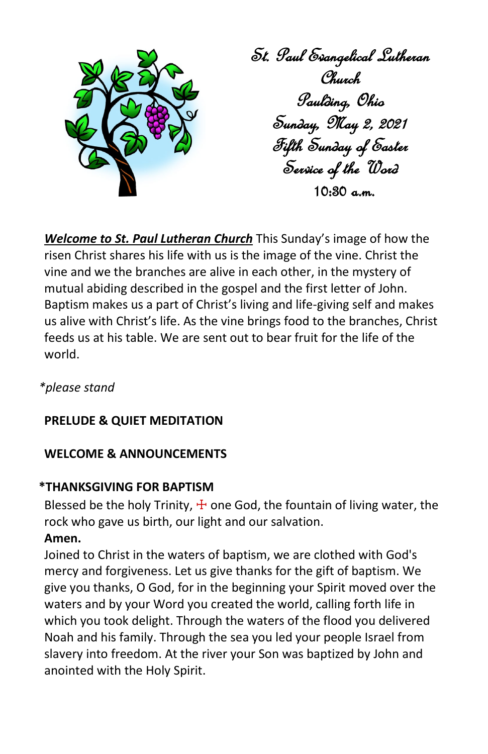

*Welcome to St. Paul Lutheran Church* This Sunday's image of how the risen Christ shares his life with us is the image of the vine. Christ the vine and we the branches are alive in each other, in the mystery of mutual abiding described in the gospel and the first letter of John. Baptism makes us a part of Christ's living and life-giving self and makes us alive with Christ's life. As the vine brings food to the branches, Christ feeds us at his table. We are sent out to bear fruit for the life of the world.

*\*please stand* 

# **PRELUDE & QUIET MEDITATION**

## **WELCOME & ANNOUNCEMENTS**

## **\*THANKSGIVING FOR BAPTISM**

Blessed be the holy Trinity,  $\pm$  one God, the fountain of living water, the rock who gave us birth, our light and our salvation.

## **Amen.**

Joined to Christ in the waters of baptism, we are clothed with God's mercy and forgiveness. Let us give thanks for the gift of baptism. We give you thanks, O God, for in the beginning your Spirit moved over the waters and by your Word you created the world, calling forth life in which you took delight. Through the waters of the flood you delivered Noah and his family. Through the sea you led your people Israel from slavery into freedom. At the river your Son was baptized by John and anointed with the Holy Spirit.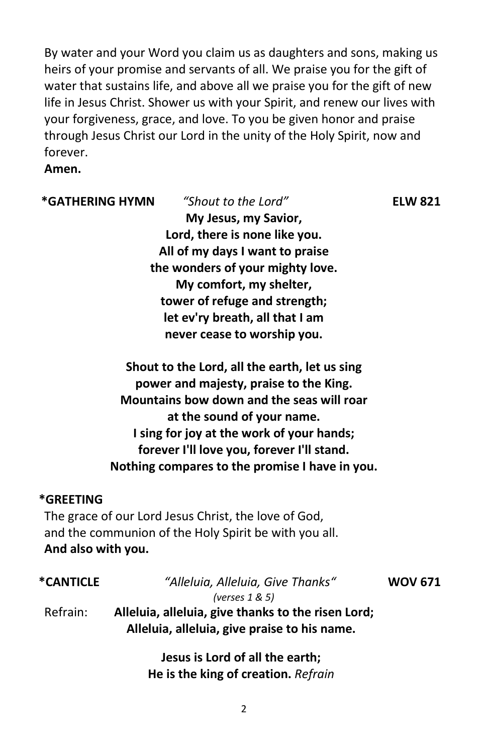By water and your Word you claim us as daughters and sons, making us heirs of your promise and servants of all. We praise you for the gift of water that sustains life, and above all we praise you for the gift of new life in Jesus Christ. Shower us with your Spirit, and renew our lives with your forgiveness, grace, and love. To you be given honor and praise through Jesus Christ our Lord in the unity of the Holy Spirit, now and forever.

## **Amen.**

### **\*GATHERING HYMN** *"Shout to the Lord"* **ELW 821**

**My Jesus, my Savior, Lord, there is none like you. All of my days I want to praise the wonders of your mighty love. My comfort, my shelter, tower of refuge and strength; let ev'ry breath, all that I am never cease to worship you.**

**Shout to the Lord, all the earth, let us sing power and majesty, praise to the King. Mountains bow down and the seas will roar at the sound of your name. I sing for joy at the work of your hands; forever I'll love you, forever I'll stand. Nothing compares to the promise I have in you.**

### **\*GREETING**

The grace of our Lord Jesus Christ, the love of God, and the communion of the Holy Spirit be with you all. **And also with you.**

| <i><b>*CANTICLE</b></i> | "Alleluia, Alleluia, Give Thanks"                  | <b>WOV 671</b> |
|-------------------------|----------------------------------------------------|----------------|
|                         | (verses $1 & 5$ )                                  |                |
| Refrain:                | Alleluia, alleluia, give thanks to the risen Lord; |                |
|                         | Alleluia, alleluia, give praise to his name.       |                |
|                         |                                                    |                |

**Jesus is Lord of all the earth; He is the king of creation.** *Refrain*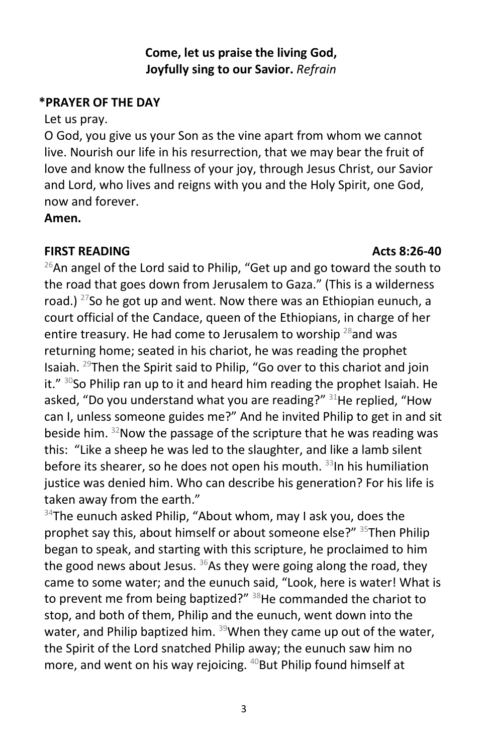## **Come, let us praise the living God, Joyfully sing to our Savior.** *Refrain*

## **\*PRAYER OF THE DAY**

## Let us pray.

O God, you give us your Son as the vine apart from whom we cannot live. Nourish our life in his resurrection, that we may bear the fruit of love and know the fullness of your joy, through Jesus Christ, our Savior and Lord, who lives and reigns with you and the Holy Spirit, one God, now and forever.

**Amen.**

## **FIRST READING Acts 8:26-40**

 $26$ An angel of the Lord said to Philip, "Get up and go toward the south to the road that goes down from Jerusalem to Gaza." (This is a wilderness road.) <sup>27</sup>So he got up and went. Now there was an Ethiopian eunuch, a court official of the Candace, queen of the Ethiopians, in charge of her entire treasury. He had come to Jerusalem to worship  $^{28}$  and was returning home; seated in his chariot, he was reading the prophet Isaiah. 29Then the Spirit said to Philip, "Go over to this chariot and join it."  $30$ So Philip ran up to it and heard him reading the prophet Isaiah. He asked, "Do you understand what you are reading?"  $31$ He replied, "How can I, unless someone guides me?" And he invited Philip to get in and sit beside him.  $32$ Now the passage of the scripture that he was reading was this: "Like a sheep he was led to the slaughter, and like a lamb silent before its shearer, so he does not open his mouth.  $33$ In his humiliation justice was denied him. Who can describe his generation? For his life is taken away from the earth."

 $34$ The eunuch asked Philip, "About whom, may I ask you, does the prophet say this, about himself or about someone else?" <sup>35</sup>Then Philip began to speak, and starting with this scripture, he proclaimed to him the good news about Jesus.  $36$ As they were going along the road, they came to some water; and the eunuch said, "Look, here is water! What is to prevent me from being baptized?" <sup>38</sup>He commanded the chariot to stop, and both of them, Philip and the eunuch, went down into the water, and Philip baptized him.  $39$ When they came up out of the water, the Spirit of the Lord snatched Philip away; the eunuch saw him no more, and went on his way rejoicing. <sup>40</sup>But Philip found himself at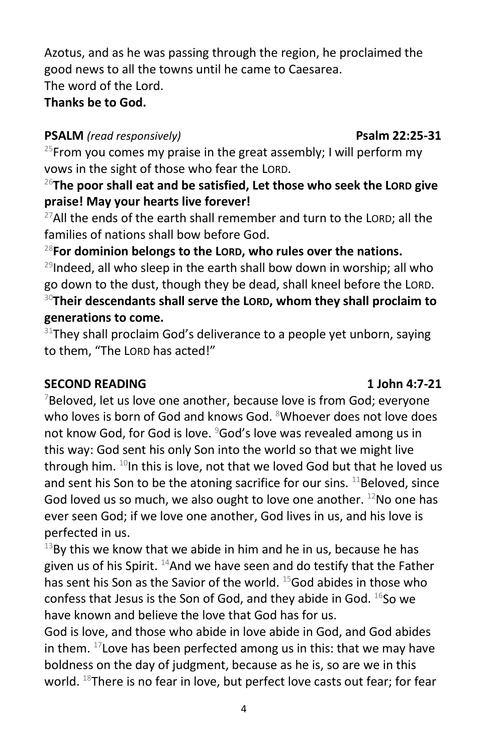Azotus, and as he was passing through the region, he proclaimed the good news to all the towns until he came to Caesarea.

The word of the Lord.

# **Thanks be to God.**

# **PSALM** *(read responsively)* **Psalm 22:25-31**

<sup>25</sup>From you comes my praise in the great assembly; I will perform my vows in the sight of those who fear the LORD.

# <sup>26</sup>**The poor shall eat and be satisfied, Let those who seek the LORD give praise! May your hearts live forever!**

 $27$ All the ends of the earth shall remember and turn to the LORD; all the families of nations shall bow before God.

# <sup>28</sup>**For dominion belongs to the LORD, who rules over the nations.**

 $^{29}$ Indeed, all who sleep in the earth shall bow down in worship; all who go down to the dust, though they be dead, shall kneel before the LORD. <sup>30</sup>**Their descendants shall serve the LORD, whom they shall proclaim to generations to come.**

 $31$ They shall proclaim God's deliverance to a people yet unborn, saying to them, "The LORD has acted!"

# **SECOND READING 1 John 4:7-21**

 $7$ Beloved, let us love one another, because love is from God; everyone who loves is born of God and knows God. <sup>8</sup>Whoever does not love does not know God, for God is love. <sup>9</sup>God's love was revealed among us in this way: God sent his only Son into the world so that we might live through him.  $^{10}$ In this is love, not that we loved God but that he loved us and sent his Son to be the atoning sacrifice for our sins.  $^{11}$ Beloved, since God loved us so much, we also ought to love one another. <sup>12</sup>No one has ever seen God; if we love one another, God lives in us, and his love is perfected in us.

 $13$ By this we know that we abide in him and he in us, because he has given us of his Spirit.  $^{14}$ And we have seen and do testify that the Father has sent his Son as the Savior of the world. <sup>15</sup>God abides in those who confess that Jesus is the Son of God, and they abide in God.  $^{16}$ So we have known and believe the love that God has for us.

God is love, and those who abide in love abide in God, and God abides in them.  $17$  Love has been perfected among us in this: that we may have boldness on the day of judgment, because as he is, so are we in this world. <sup>18</sup>There is no fear in love, but perfect love casts out fear; for fear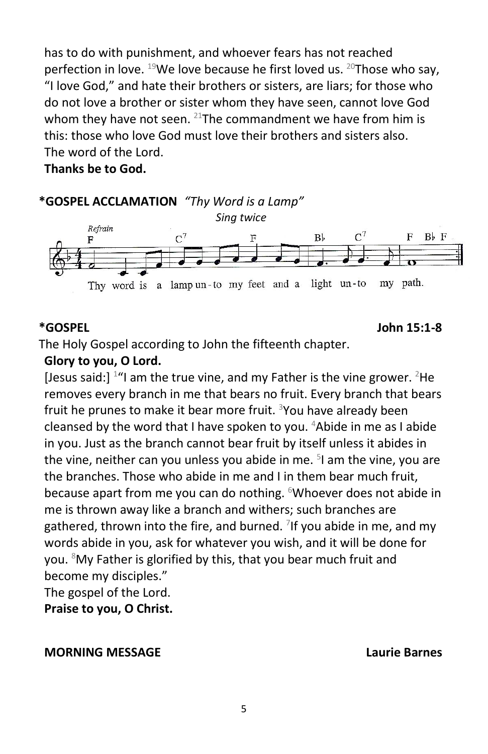has to do with punishment, and whoever fears has not reached perfection in love.  $^{19}$ We love because he first loved us.  $^{20}$ Those who say, "I love God," and hate their brothers or sisters, are liars; for those who do not love a brother or sister whom they have seen, cannot love God whom they have not seen.  $21$ The commandment we have from him is this: those who love God must love their brothers and sisters also. The word of the Lord.

**Thanks be to God.**



### **\*GOSPEL John 15:1-8**

The Holy Gospel according to John the fifteenth chapter.

## **Glory to you, O Lord.**

[Jesus said:]  $14$  am the true vine, and my Father is the vine grower.  $2$ He removes every branch in me that bears no fruit. Every branch that bears fruit he prunes to make it bear more fruit. <sup>3</sup>You have already been cleansed by the word that I have spoken to you. <sup>4</sup>Abide in me as I abide in you. Just as the branch cannot bear fruit by itself unless it abides in the vine, neither can you unless you abide in me. <sup>5</sup>I am the vine, you are the branches. Those who abide in me and I in them bear much fruit, because apart from me you can do nothing. <sup>6</sup>Whoever does not abide in me is thrown away like a branch and withers; such branches are gathered, thrown into the fire, and burned. <sup>7</sup>If you abide in me, and my words abide in you, ask for whatever you wish, and it will be done for you. <sup>8</sup>My Father is glorified by this, that you bear much fruit and become my disciples."

The gospel of the Lord.

**Praise to you, O Christ.**

## **MORNING MESSAGE Laurie Barnes**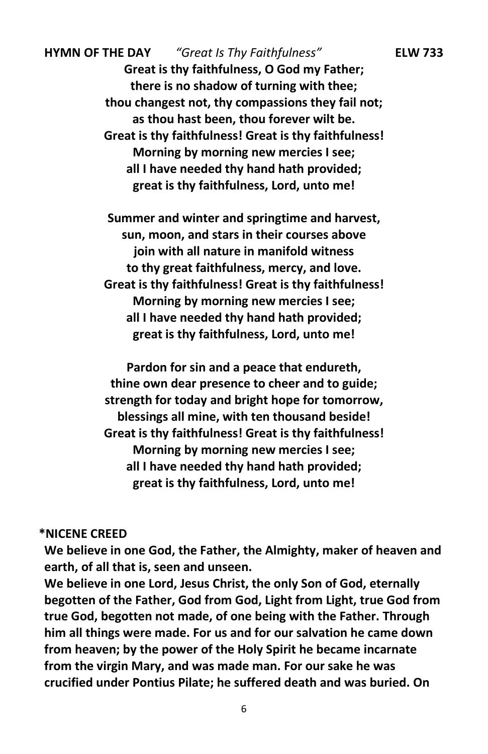**HYMN OF THE DAY** *"Great Is Thy Faithfulness"* **ELW 733 Great is thy faithfulness, O God my Father; there is no shadow of turning with thee; thou changest not, thy compassions they fail not; as thou hast been, thou forever wilt be. Great is thy faithfulness! Great is thy faithfulness! Morning by morning new mercies I see; all I have needed thy hand hath provided; great is thy faithfulness, Lord, unto me!**

> **Summer and winter and springtime and harvest, sun, moon, and stars in their courses above join with all nature in manifold witness to thy great faithfulness, mercy, and love. Great is thy faithfulness! Great is thy faithfulness! Morning by morning new mercies I see; all I have needed thy hand hath provided; great is thy faithfulness, Lord, unto me!**

> **Pardon for sin and a peace that endureth, thine own dear presence to cheer and to guide; strength for today and bright hope for tomorrow, blessings all mine, with ten thousand beside! Great is thy faithfulness! Great is thy faithfulness! Morning by morning new mercies I see; all I have needed thy hand hath provided; great is thy faithfulness, Lord, unto me!**

### **\*NICENE CREED**

**We believe in one God, the Father, the Almighty, maker of heaven and earth, of all that is, seen and unseen.** 

**We believe in one Lord, Jesus Christ, the only Son of God, eternally begotten of the Father, God from God, Light from Light, true God from true God, begotten not made, of one being with the Father. Through him all things were made. For us and for our salvation he came down from heaven; by the power of the Holy Spirit he became incarnate from the virgin Mary, and was made man. For our sake he was crucified under Pontius Pilate; he suffered death and was buried. On**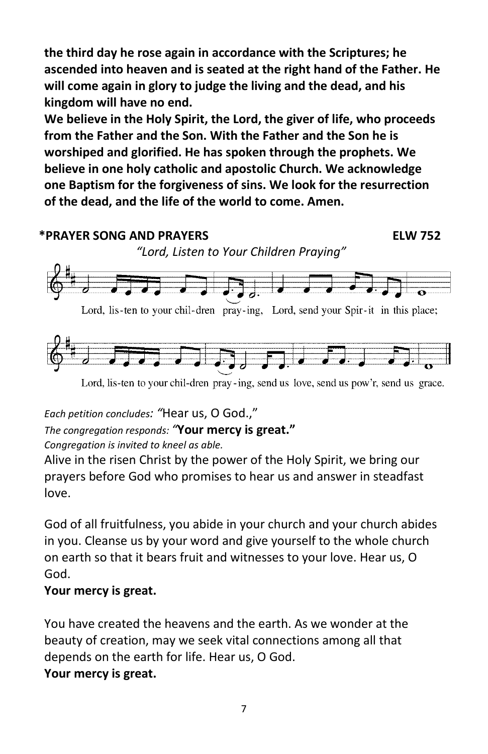**the third day he rose again in accordance with the Scriptures; he ascended into heaven and is seated at the right hand of the Father. He will come again in glory to judge the living and the dead, and his kingdom will have no end.** 

**We believe in the Holy Spirit, the Lord, the giver of life, who proceeds from the Father and the Son. With the Father and the Son he is worshiped and glorified. He has spoken through the prophets. We believe in one holy catholic and apostolic Church. We acknowledge one Baptism for the forgiveness of sins. We look for the resurrection of the dead, and the life of the world to come. Amen.**



Lord, lis-ten to your chil-dren pray-ing, send us love, send us pow'r, send us grace.

*Each petition concludes: "*Hear us, O God.,"

*The congregation responds: "***Your mercy is great."** 

*Congregation is invited to kneel as able.* 

Alive in the risen Christ by the power of the Holy Spirit, we bring our prayers before God who promises to hear us and answer in steadfast love.

God of all fruitfulness, you abide in your church and your church abides in you. Cleanse us by your word and give yourself to the whole church on earth so that it bears fruit and witnesses to your love. Hear us, O God.

# **Your mercy is great.**

You have created the heavens and the earth. As we wonder at the beauty of creation, may we seek vital connections among all that depends on the earth for life. Hear us, O God. **Your mercy is great.**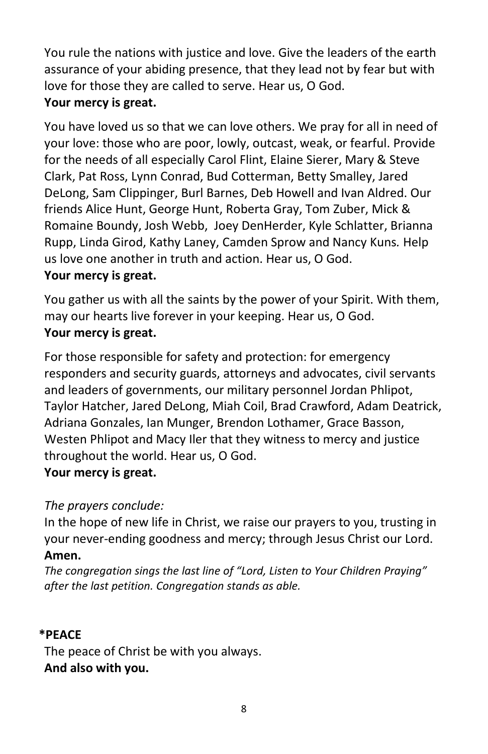You rule the nations with justice and love. Give the leaders of the earth assurance of your abiding presence, that they lead not by fear but with love for those they are called to serve. Hear us, O God. **Your mercy is great.**

# You have loved us so that we can love others. We pray for all in need of your love: those who are poor, lowly, outcast, weak, or fearful. Provide for the needs of all especially Carol Flint, Elaine Sierer, Mary & Steve Clark, Pat Ross, Lynn Conrad, Bud Cotterman, Betty Smalley, Jared DeLong, Sam Clippinger, Burl Barnes, Deb Howell and Ivan Aldred. Our friends Alice Hunt, George Hunt, Roberta Gray, Tom Zuber, Mick & Romaine Boundy, Josh Webb, Joey DenHerder, Kyle Schlatter, Brianna Rupp, Linda Girod, Kathy Laney, Camden Sprow and Nancy Kuns*.* Help us love one another in truth and action. Hear us, O God.

# **Your mercy is great.**

You gather us with all the saints by the power of your Spirit. With them, may our hearts live forever in your keeping. Hear us, O God. **Your mercy is great.**

For those responsible for safety and protection: for emergency responders and security guards, attorneys and advocates, civil servants and leaders of governments, our military personnel Jordan Phlipot, Taylor Hatcher, Jared DeLong, Miah Coil, Brad Crawford, Adam Deatrick, Adriana Gonzales, Ian Munger, Brendon Lothamer, Grace Basson, Westen Phlipot and Macy Iler that they witness to mercy and justice throughout the world. Hear us, O God.

# **Your mercy is great.**

# *The prayers conclude:*

In the hope of new life in Christ, we raise our prayers to you, trusting in your never-ending goodness and mercy; through Jesus Christ our Lord. **Amen.**

*The congregation sings the last line of "Lord, Listen to Your Children Praying" after the last petition. Congregation stands as able.*

# **\*PEACE**

The peace of Christ be with you always. **And also with you.**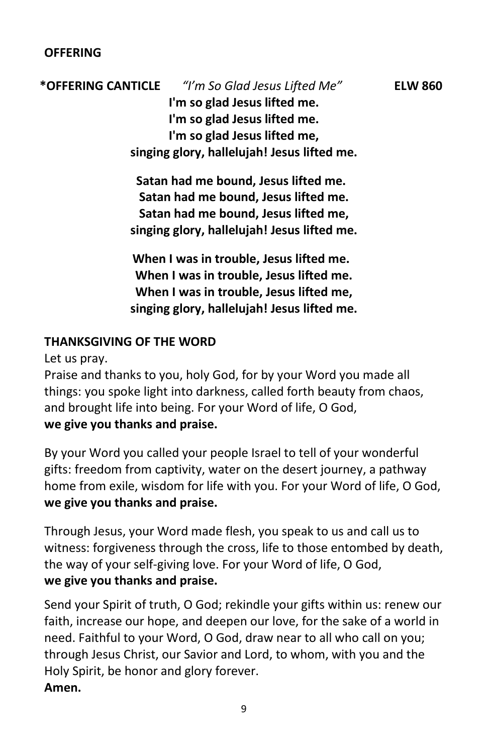# **\*OFFERING CANTICLE** *"I'm So Glad Jesus Lifted Me"* **ELW 860 I'm so glad Jesus lifted me. I'm so glad Jesus lifted me. I'm so glad Jesus lifted me, singing glory, hallelujah! Jesus lifted me.**

**Satan had me bound, Jesus lifted me. Satan had me bound, Jesus lifted me. Satan had me bound, Jesus lifted me, singing glory, hallelujah! Jesus lifted me.**

**When I was in trouble, Jesus lifted me. When I was in trouble, Jesus lifted me. When I was in trouble, Jesus lifted me, singing glory, hallelujah! Jesus lifted me.**

## **THANKSGIVING OF THE WORD**

Let us pray.

Praise and thanks to you, holy God, for by your Word you made all things: you spoke light into darkness, called forth beauty from chaos, and brought life into being. For your Word of life, O God, **we give you thanks and praise.**

By your Word you called your people Israel to tell of your wonderful gifts: freedom from captivity, water on the desert journey, a pathway home from exile, wisdom for life with you. For your Word of life, O God, **we give you thanks and praise.**

Through Jesus, your Word made flesh, you speak to us and call us to witness: forgiveness through the cross, life to those entombed by death, the way of your self-giving love. For your Word of life, O God, **we give you thanks and praise.**

Send your Spirit of truth, O God; rekindle your gifts within us: renew our faith, increase our hope, and deepen our love, for the sake of a world in need. Faithful to your Word, O God, draw near to all who call on you; through Jesus Christ, our Savior and Lord, to whom, with you and the Holy Spirit, be honor and glory forever. **Amen.**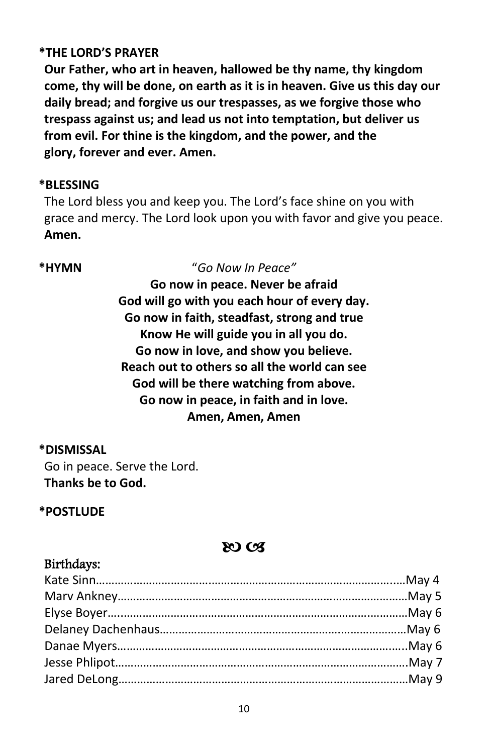## **\*THE LORD'S PRAYER**

**Our Father, who art in heaven, hallowed be thy name, thy kingdom come, thy will be done, on earth as it is in heaven. Give us this day our daily bread; and forgive us our trespasses, as we forgive those who trespass against us; and lead us not into temptation, but deliver us from evil. For thine is the kingdom, and the power, and the glory, forever and ever. Amen.**

## **\*BLESSING**

The Lord bless you and keep you. The Lord's face shine on you with grace and mercy. The Lord look upon you with favor and give you peace. **Amen.**

### **\*HYMN** "*Go Now In Peace"*

**Go now in peace. Never be afraid God will go with you each hour of every day. Go now in faith, steadfast, strong and true Know He will guide you in all you do. Go now in love, and show you believe. Reach out to others so all the world can see God will be there watching from above. Go now in peace, in faith and in love. Amen, Amen, Amen**

## **\*DISMISSAL**

Go in peace. Serve the Lord. **Thanks be to God.**

## **\*POSTLUDE**

# &O CB

## Birthdays: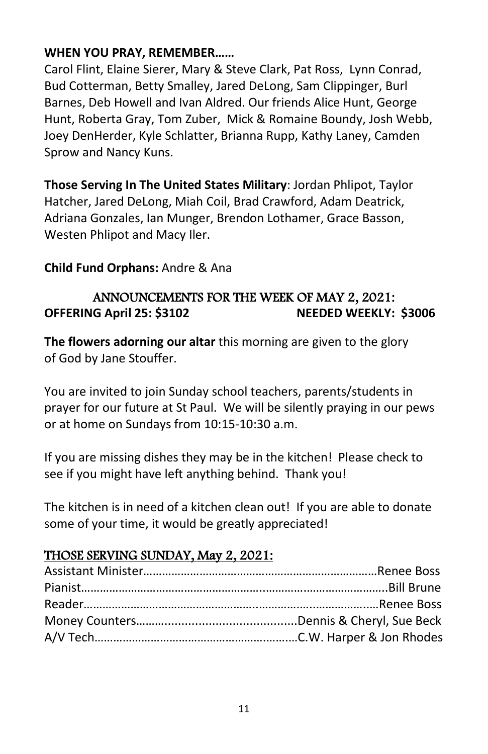## **WHEN YOU PRAY, REMEMBER……**

Carol Flint, Elaine Sierer, Mary & Steve Clark, Pat Ross, Lynn Conrad, Bud Cotterman, Betty Smalley, Jared DeLong, Sam Clippinger, Burl Barnes, Deb Howell and Ivan Aldred. Our friends Alice Hunt, George Hunt, Roberta Gray, Tom Zuber, Mick & Romaine Boundy, Josh Webb, Joey DenHerder, Kyle Schlatter, Brianna Rupp, Kathy Laney, Camden Sprow and Nancy Kuns.

**Those Serving In The United States Military**: Jordan Phlipot, Taylor Hatcher, Jared DeLong, Miah Coil, Brad Crawford, Adam Deatrick, Adriana Gonzales, Ian Munger, Brendon Lothamer, Grace Basson, Westen Phlipot and Macy Iler.

## **Child Fund Orphans:** Andre & Ana

# ANNOUNCEMENTS FOR THE WEEK OF MAY 2, 2021: **OFFERING April 25: \$3102 NEEDED WEEKLY: \$3006**

**The flowers adorning our altar** this morning are given to the glory of God by Jane Stouffer.

You are invited to join Sunday school teachers, parents/students in prayer for our future at St Paul. We will be silently praying in our pews or at home on Sundays from 10:15-10:30 a.m.

If you are missing dishes they may be in the kitchen! Please check to see if you might have left anything behind. Thank you!

The kitchen is in need of a kitchen clean out! If you are able to donate some of your time, it would be greatly appreciated!

# THOSE SERVING SUNDAY, May 2, 2021: